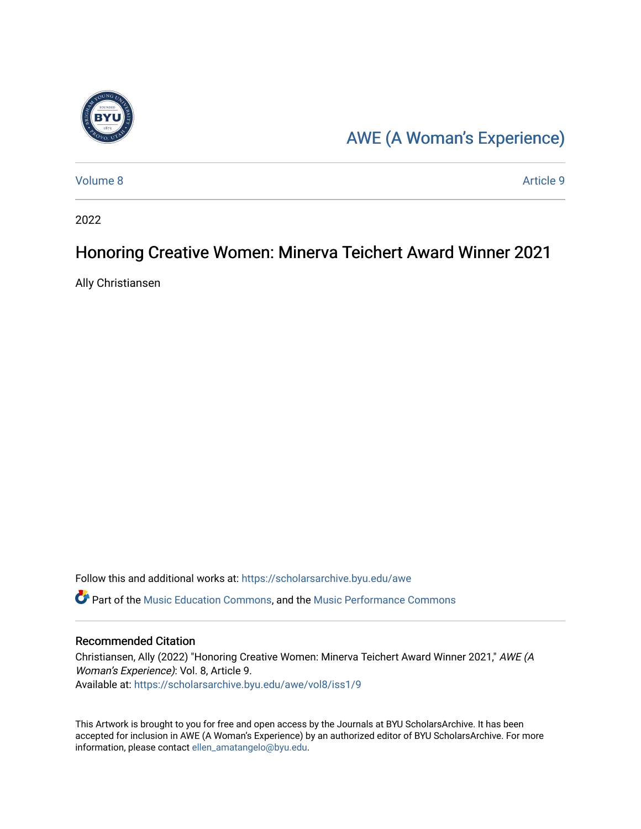

### [AWE \(A Woman's Experience\)](https://scholarsarchive.byu.edu/awe)

[Volume 8](https://scholarsarchive.byu.edu/awe/vol8) [Article 9](https://scholarsarchive.byu.edu/awe/vol8/iss1/9) 

2022

### Honoring Creative Women: Minerva Teichert Award Winner 2021

Ally Christiansen

Follow this and additional works at: [https://scholarsarchive.byu.edu/awe](https://scholarsarchive.byu.edu/awe?utm_source=scholarsarchive.byu.edu%2Fawe%2Fvol8%2Fiss1%2F9&utm_medium=PDF&utm_campaign=PDFCoverPages)

Part of the [Music Education Commons,](https://network.bepress.com/hgg/discipline/1246?utm_source=scholarsarchive.byu.edu%2Fawe%2Fvol8%2Fiss1%2F9&utm_medium=PDF&utm_campaign=PDFCoverPages) and the [Music Performance Commons](https://network.bepress.com/hgg/discipline/1128?utm_source=scholarsarchive.byu.edu%2Fawe%2Fvol8%2Fiss1%2F9&utm_medium=PDF&utm_campaign=PDFCoverPages) 

#### Recommended Citation

Christiansen, Ally (2022) "Honoring Creative Women: Minerva Teichert Award Winner 2021," AWE (A Woman's Experience): Vol. 8, Article 9. Available at: [https://scholarsarchive.byu.edu/awe/vol8/iss1/9](https://scholarsarchive.byu.edu/awe/vol8/iss1/9?utm_source=scholarsarchive.byu.edu%2Fawe%2Fvol8%2Fiss1%2F9&utm_medium=PDF&utm_campaign=PDFCoverPages)

This Artwork is brought to you for free and open access by the Journals at BYU ScholarsArchive. It has been accepted for inclusion in AWE (A Woman's Experience) by an authorized editor of BYU ScholarsArchive. For more information, please contact [ellen\\_amatangelo@byu.edu.](mailto:ellen_amatangelo@byu.edu)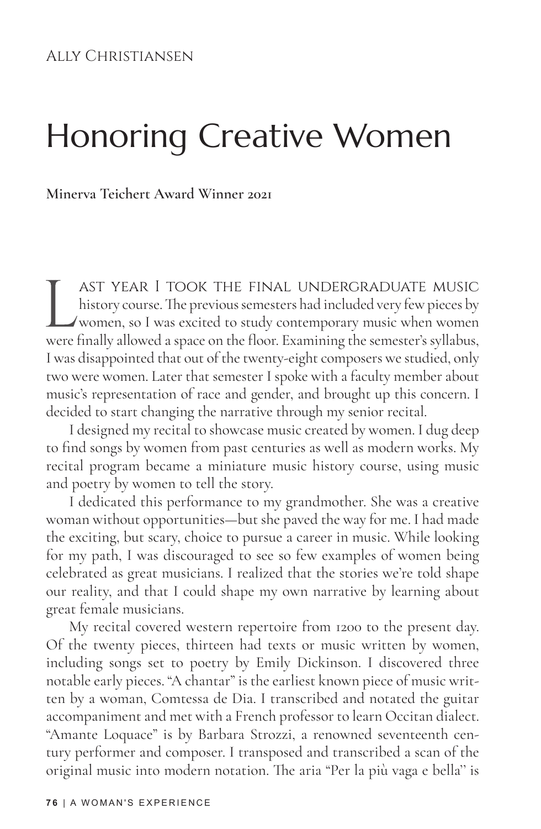## Honoring Creative Women

**Minerva Teichert Award Winner 2021**

LAST YEAR I TOOK THE FINAL UNDERGRADUATE MUSIC<br>history course. The previous semesters had included very few pieces by<br>women, so I was excited to study contemporary music when women<br>were finally allowed a space on the floor history course. The previous semesters had included very few pieces by women, so I was excited to study contemporary music when women were finally allowed a space on the floor. Examining the semester's syllabus, I was disappointed that out of the twenty-eight composers we studied, only two were women. Later that semester I spoke with a faculty member about music's representation of race and gender, and brought up this concern. I decided to start changing the narrative through my senior recital.

I designed my recital to showcase music created by women. I dug deep to find songs by women from past centuries as well as modern works. My recital program became a miniature music history course, using music and poetry by women to tell the story.

I dedicated this performance to my grandmother. She was a creative woman without opportunities—but she paved the way for me. I had made the exciting, but scary, choice to pursue a career in music. While looking for my path, I was discouraged to see so few examples of women being celebrated as great musicians. I realized that the stories we're told shape our reality, and that I could shape my own narrative by learning about great female musicians.

My recital covered western repertoire from 1200 to the present day. Of the twenty pieces, thirteen had texts or music written by women, including songs set to poetry by Emily Dickinson. I discovered three notable early pieces. "A chantar" is the earliest known piece of music written by a woman, Comtessa de Dia. I transcribed and notated the guitar accompaniment and met with a French professor to learn Occitan dialect. "Amante Loquace" is by Barbara Strozzi, a renowned seventeenth century performer and composer. I transposed and transcribed a scan of the original music into modern notation. The aria "Per la più vaga e bella'' is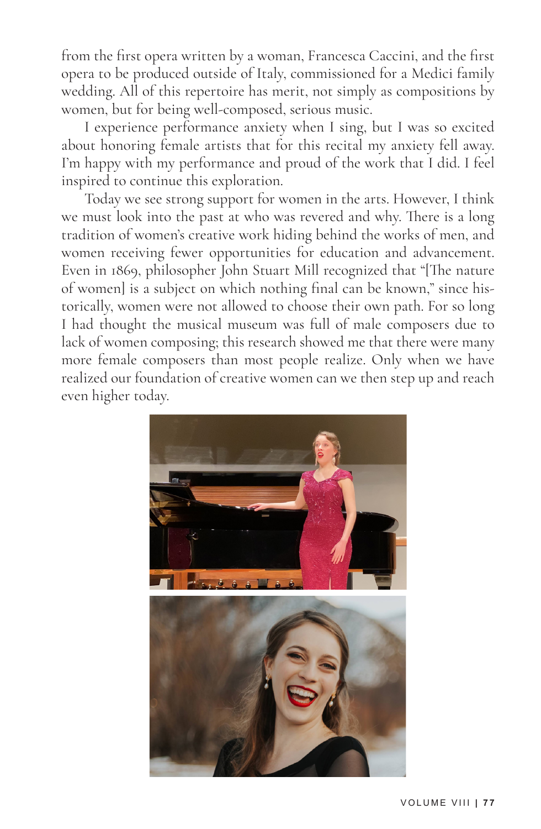from the first opera written by a woman, Francesca Caccini, and the first opera to be produced outside of Italy, commissioned for a Medici family wedding. All of this repertoire has merit, not simply as compositions by women, but for being well-composed, serious music.

I experience performance anxiety when I sing, but I was so excited about honoring female artists that for this recital my anxiety fell away. I'm happy with my performance and proud of the work that I did. I feel inspired to continue this exploration.

Today we see strong support for women in the arts. However, I think we must look into the past at who was revered and why. There is a long tradition of women's creative work hiding behind the works of men, and women receiving fewer opportunities for education and advancement. Even in 1869, philosopher John Stuart Mill recognized that "[The nature of women] is a subject on which nothing final can be known," since historically, women were not allowed to choose their own path. For so long I had thought the musical museum was full of male composers due to lack of women composing; this research showed me that there were many more female composers than most people realize. Only when we have realized our foundation of creative women can we then step up and reach even higher today.